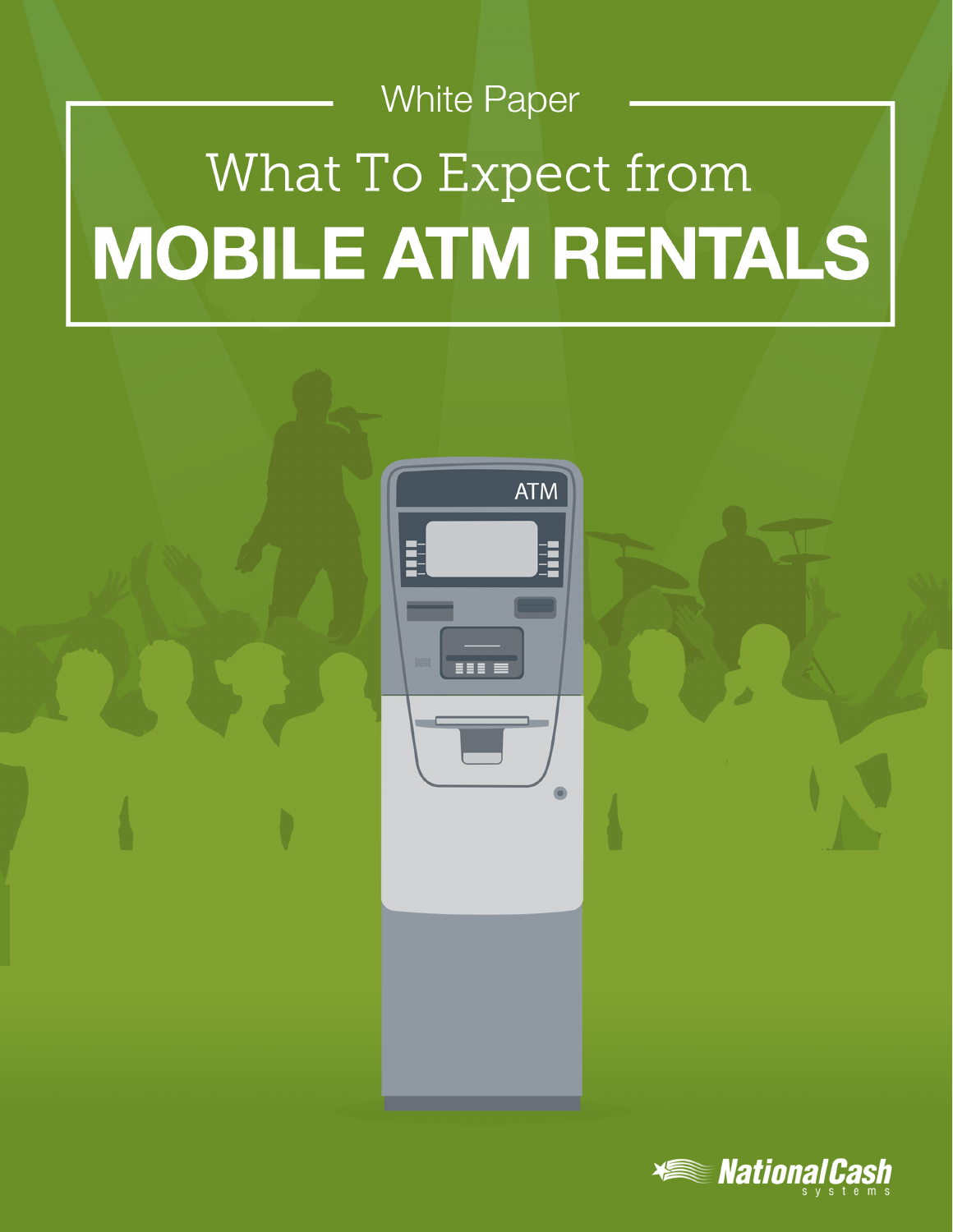# **White Paper** What To Expect from **MOBILE ATM RENTALS**



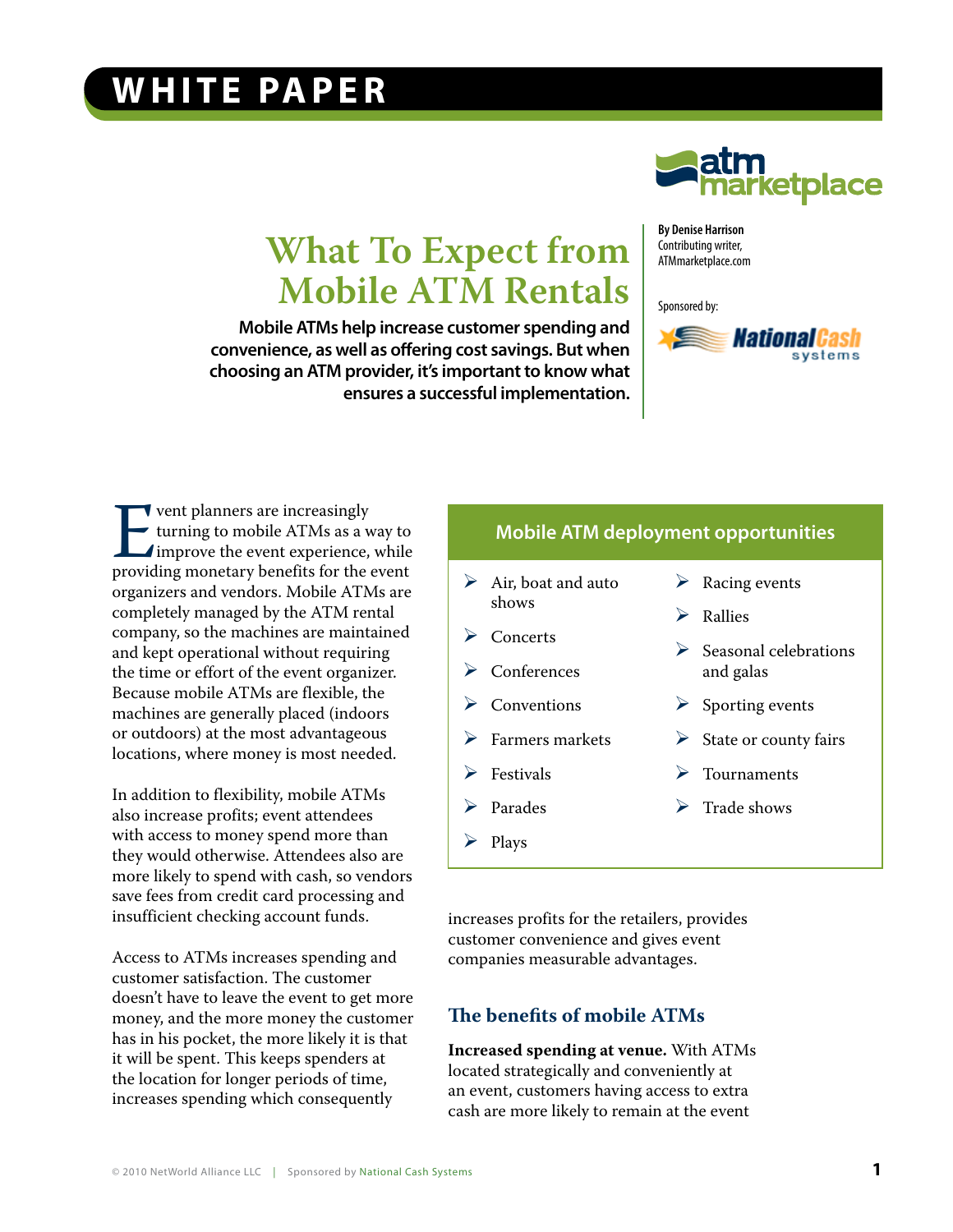## **WHITE PAPER**



# **What To Expect from Mobile ATM Rentals**

**Mobile ATMs help increase customer spending and convenience, as well as offering cost savings. But when choosing an ATM provider, it's important to know what ensures a successful implementation.**

**By Denise Harrison** Contributing writer, ATMmarketplace.com

Sponsored by:



**EVALUATE:** Went planners are increasingly<br>turning to mobile ATMs as a way to<br>improve the event experience, while<br>providing monetary benefits for the event turning to mobile ATMs as a way to improve the event experience, while organizers and vendors. Mobile ATMs are completely managed by the ATM rental company, so the machines are maintained and kept operational without requiring the time or effort of the event organizer. Because mobile ATMs are flexible, the machines are generally placed (indoors or outdoors) at the most advantageous locations, where money is most needed.

In addition to flexibility, mobile ATMs also increase profits; event attendees with access to money spend more than they would otherwise. Attendees also are more likely to spend with cash, so vendors save fees from credit card processing and insufficient checking account funds.

Access to ATMs increases spending and customer satisfaction. The customer doesn't have to leave the event to get more money, and the more money the customer has in his pocket, the more likely it is that it will be spent. This keeps spenders at the location for longer periods of time, increases spending which consequently

## **Mobile ATM deployment opportunities**

 $\triangleright$  Air, boat and auto shows  $\triangleright$  Concerts **Conferences**  $\triangleright$  Conventions  $\triangleright$  Farmers markets **Festivals** Parades  $\triangleright$  Racing events **Rallies**  $\triangleright$  Seasonal celebrations and galas  $\triangleright$  Sporting events  $\triangleright$  State or county fairs **Tournaments**  $\triangleright$  Trade shows

increases profits for the retailers, provides customer convenience and gives event companies measurable advantages.

#### **The benefits of mobile ATMs**

 $\triangleright$  Plays

**Increased spending at venue.** With ATMs located strategically and conveniently at an event, customers having access to extra cash are more likely to remain at the event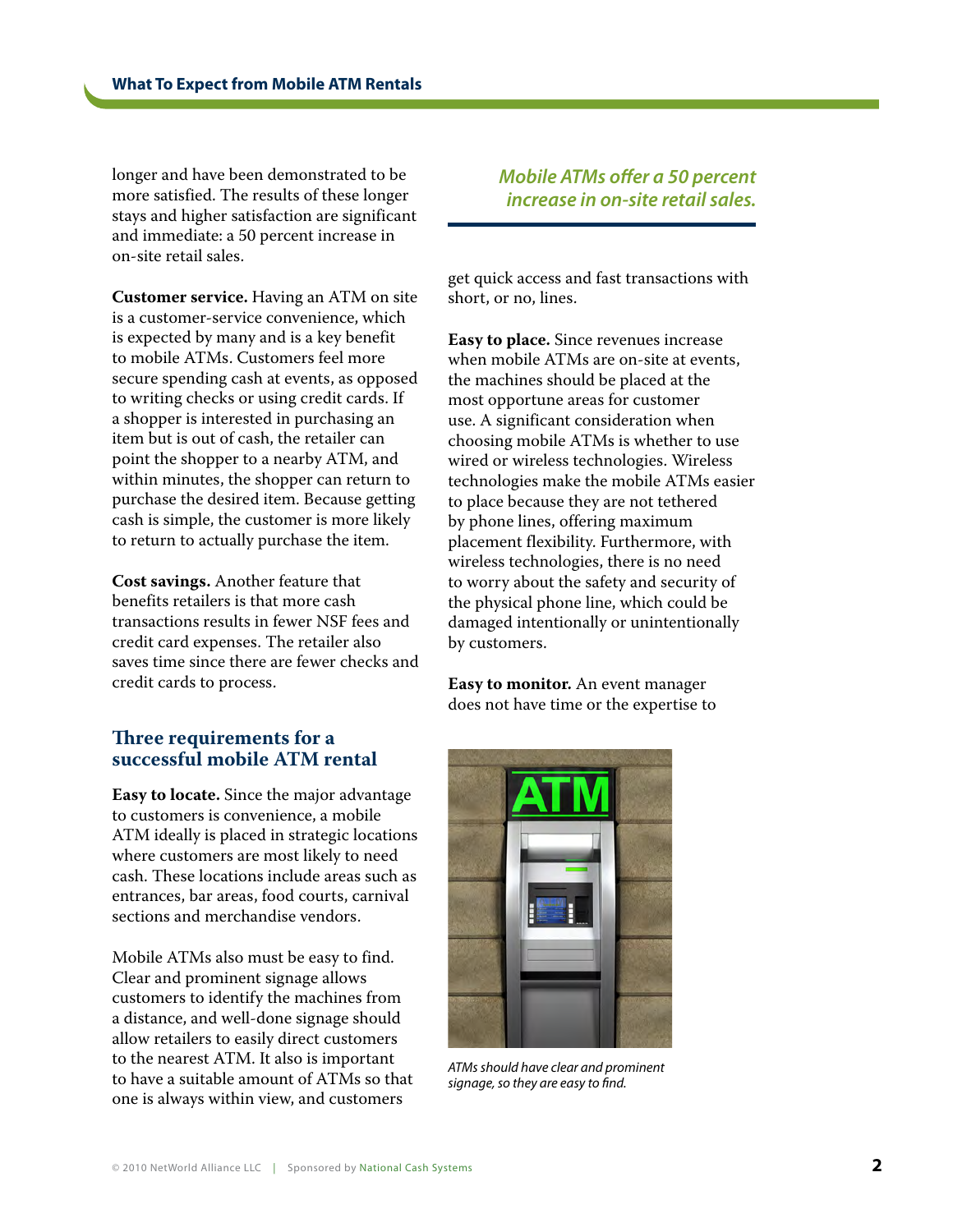longer and have been demonstrated to be more satisfied. The results of these longer stays and higher satisfaction are significant and immediate: a 50 percent increase in on-site retail sales.

**Customer service.** Having an ATM on site is a customer-service convenience, which is expected by many and is a key benefit to mobile ATMs. Customers feel more secure spending cash at events, as opposed to writing checks or using credit cards. If a shopper is interested in purchasing an item but is out of cash, the retailer can point the shopper to a nearby ATM, and within minutes, the shopper can return to purchase the desired item. Because getting cash is simple, the customer is more likely to return to actually purchase the item.

**Cost savings.** Another feature that benefits retailers is that more cash transactions results in fewer NSF fees and credit card expenses. The retailer also saves time since there are fewer checks and credit cards to process.

### **Three requirements for a successful mobile ATM rental**

**Easy to locate.** Since the major advantage to customers is convenience, a mobile ATM ideally is placed in strategic locations where customers are most likely to need cash. These locations include areas such as entrances, bar areas, food courts, carnival sections and merchandise vendors.

Mobile ATMs also must be easy to find. Clear and prominent signage allows customers to identify the machines from a distance, and well-done signage should allow retailers to easily direct customers to the nearest ATM. It also is important to have a suitable amount of ATMs so that one is always within view, and customers

*Mobile ATMs offer a 50 percent increase in on-site retail sales.* 

get quick access and fast transactions with short, or no, lines.

**Easy to place.** Since revenues increase when mobile ATMs are on-site at events, the machines should be placed at the most opportune areas for customer use. A significant consideration when choosing mobile ATMs is whether to use wired or wireless technologies. Wireless technologies make the mobile ATMs easier to place because they are not tethered by phone lines, offering maximum placement flexibility. Furthermore, with wireless technologies, there is no need to worry about the safety and security of the physical phone line, which could be damaged intentionally or unintentionally by customers.

**Easy to monitor.** An event manager does not have time or the expertise to



*ATMs should have clear and prominent signage, so they are easy to find.*